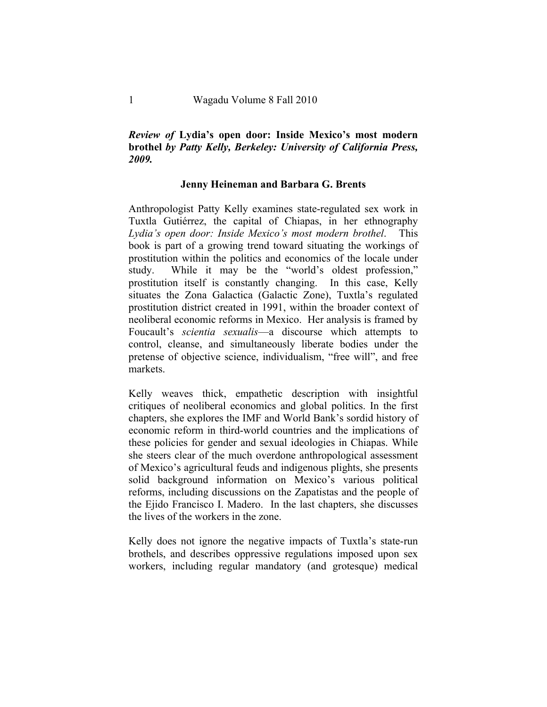## *Review of* **Lydia's open door: Inside Mexico's most modern brothel** *by Patty Kelly, Berkeley: University of California Press, 2009.*

## **Jenny Heineman and Barbara G. Brents**

Anthropologist Patty Kelly examines state-regulated sex work in Tuxtla Gutiérrez, the capital of Chiapas, in her ethnography *Lydia's open door: Inside Mexico's most modern brothel*. This book is part of a growing trend toward situating the workings of prostitution within the politics and economics of the locale under study. While it may be the "world's oldest profession," prostitution itself is constantly changing. In this case, Kelly situates the Zona Galactica (Galactic Zone), Tuxtla's regulated prostitution district created in 1991, within the broader context of neoliberal economic reforms in Mexico. Her analysis is framed by Foucault's *scientia sexualis*—a discourse which attempts to control, cleanse, and simultaneously liberate bodies under the pretense of objective science, individualism, "free will", and free markets.

Kelly weaves thick, empathetic description with insightful critiques of neoliberal economics and global politics. In the first chapters, she explores the IMF and World Bank's sordid history of economic reform in third-world countries and the implications of these policies for gender and sexual ideologies in Chiapas. While she steers clear of the much overdone anthropological assessment of Mexico's agricultural feuds and indigenous plights, she presents solid background information on Mexico's various political reforms, including discussions on the Zapatistas and the people of the Ejido Francisco I. Madero. In the last chapters, she discusses the lives of the workers in the zone.

Kelly does not ignore the negative impacts of Tuxtla's state-run brothels, and describes oppressive regulations imposed upon sex workers, including regular mandatory (and grotesque) medical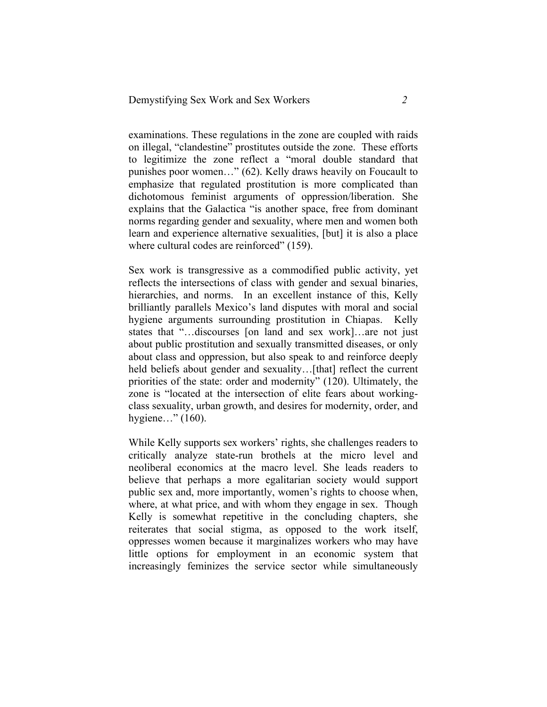examinations. These regulations in the zone are coupled with raids on illegal, "clandestine" prostitutes outside the zone. These efforts to legitimize the zone reflect a "moral double standard that punishes poor women…" (62). Kelly draws heavily on Foucault to emphasize that regulated prostitution is more complicated than dichotomous feminist arguments of oppression/liberation. She explains that the Galactica "is another space, free from dominant norms regarding gender and sexuality, where men and women both learn and experience alternative sexualities, [but] it is also a place where cultural codes are reinforced" (159).

Sex work is transgressive as a commodified public activity, yet reflects the intersections of class with gender and sexual binaries, hierarchies, and norms. In an excellent instance of this, Kelly brilliantly parallels Mexico's land disputes with moral and social hygiene arguments surrounding prostitution in Chiapas. Kelly states that "…discourses [on land and sex work]…are not just about public prostitution and sexually transmitted diseases, or only about class and oppression, but also speak to and reinforce deeply held beliefs about gender and sexuality...[that] reflect the current priorities of the state: order and modernity" (120). Ultimately, the zone is "located at the intersection of elite fears about workingclass sexuality, urban growth, and desires for modernity, order, and hygiene…" (160).

While Kelly supports sex workers' rights, she challenges readers to critically analyze state-run brothels at the micro level and neoliberal economics at the macro level. She leads readers to believe that perhaps a more egalitarian society would support public sex and, more importantly, women's rights to choose when, where, at what price, and with whom they engage in sex. Though Kelly is somewhat repetitive in the concluding chapters, she reiterates that social stigma, as opposed to the work itself, oppresses women because it marginalizes workers who may have little options for employment in an economic system that increasingly feminizes the service sector while simultaneously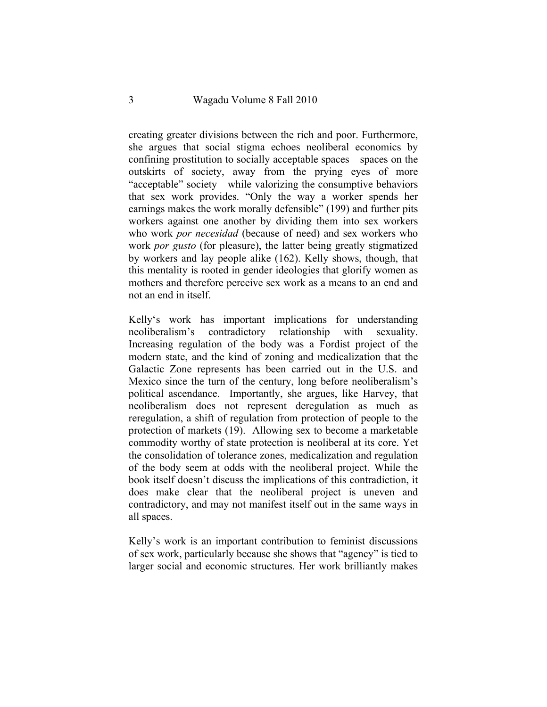creating greater divisions between the rich and poor. Furthermore, she argues that social stigma echoes neoliberal economics by confining prostitution to socially acceptable spaces—spaces on the outskirts of society, away from the prying eyes of more "acceptable" society—while valorizing the consumptive behaviors that sex work provides. "Only the way a worker spends her earnings makes the work morally defensible" (199) and further pits workers against one another by dividing them into sex workers who work *por necesidad* (because of need) and sex workers who work *por gusto* (for pleasure), the latter being greatly stigmatized by workers and lay people alike (162). Kelly shows, though, that this mentality is rooted in gender ideologies that glorify women as mothers and therefore perceive sex work as a means to an end and not an end in itself.

Kelly's work has important implications for understanding neoliberalism's contradictory relationship with sexuality. Increasing regulation of the body was a Fordist project of the modern state, and the kind of zoning and medicalization that the Galactic Zone represents has been carried out in the U.S. and Mexico since the turn of the century, long before neoliberalism's political ascendance. Importantly, she argues, like Harvey, that neoliberalism does not represent deregulation as much as reregulation, a shift of regulation from protection of people to the protection of markets (19). Allowing sex to become a marketable commodity worthy of state protection is neoliberal at its core. Yet the consolidation of tolerance zones, medicalization and regulation of the body seem at odds with the neoliberal project. While the book itself doesn't discuss the implications of this contradiction, it does make clear that the neoliberal project is uneven and contradictory, and may not manifest itself out in the same ways in all spaces.

Kelly's work is an important contribution to feminist discussions of sex work, particularly because she shows that "agency" is tied to larger social and economic structures. Her work brilliantly makes